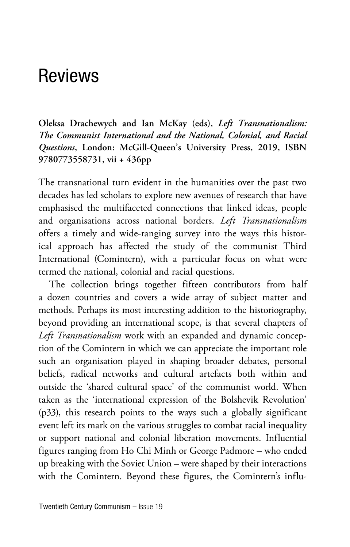## Reviews

**Oleksa Drachewych and Ian McKay (eds),** *Left Transnationalism: The Communist International and the National, Colonial, and Racial Questions***, London: McGill-Queen's University Press, 2019, ISBN 9780773558731, vii + 436pp**

The transnational turn evident in the humanities over the past two decades has led scholars to explore new avenues of research that have emphasised the multifaceted connections that linked ideas, people and organisations across national borders. *Left Transnationalism* offers a timely and wide-ranging survey into the ways this historical approach has affected the study of the communist Third International (Comintern), with a particular focus on what were termed the national, colonial and racial questions.

The collection brings together fifteen contributors from half a dozen countries and covers a wide array of subject matter and methods. Perhaps its most interesting addition to the historiography, beyond providing an international scope, is that several chapters of *Left Transnationalism* work with an expanded and dynamic conception of the Comintern in which we can appreciate the important role such an organisation played in shaping broader debates, personal beliefs, radical networks and cultural artefacts both within and outside the 'shared cultural space' of the communist world. When taken as the 'international expression of the Bolshevik Revolution' (p33), this research points to the ways such a globally significant event left its mark on the various struggles to combat racial inequality or support national and colonial liberation movements. Influential figures ranging from Ho Chi Minh or George Padmore – who ended up breaking with the Soviet Union – were shaped by their interactions with the Comintern. Beyond these figures, the Comintern's influ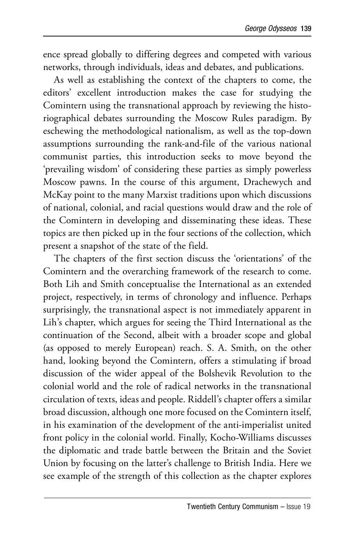ence spread globally to differing degrees and competed with various networks, through individuals, ideas and debates, and publications.

As well as establishing the context of the chapters to come, the editors' excellent introduction makes the case for studying the Comintern using the transnational approach by reviewing the historiographical debates surrounding the Moscow Rules paradigm. By eschewing the methodological nationalism, as well as the top-down assumptions surrounding the rank-and-file of the various national communist parties, this introduction seeks to move beyond the 'prevailing wisdom' of considering these parties as simply powerless Moscow pawns. In the course of this argument, Drachewych and McKay point to the many Marxist traditions upon which discussions of national, colonial, and racial questions would draw and the role of the Comintern in developing and disseminating these ideas. These topics are then picked up in the four sections of the collection, which present a snapshot of the state of the field.

The chapters of the first section discuss the 'orientations' of the Comintern and the overarching framework of the research to come. Both Lih and Smith conceptualise the International as an extended project, respectively, in terms of chronology and influence. Perhaps surprisingly, the transnational aspect is not immediately apparent in Lih's chapter, which argues for seeing the Third International as the continuation of the Second, albeit with a broader scope and global (as opposed to merely European) reach. S. A. Smith, on the other hand, looking beyond the Comintern, offers a stimulating if broad discussion of the wider appeal of the Bolshevik Revolution to the colonial world and the role of radical networks in the transnational circulation of texts, ideas and people. Riddell's chapter offers a similar broad discussion, although one more focused on the Comintern itself, in his examination of the development of the anti-imperialist united front policy in the colonial world. Finally, Kocho-Williams discusses the diplomatic and trade battle between the Britain and the Soviet Union by focusing on the latter's challenge to British India. Here we see example of the strength of this collection as the chapter explores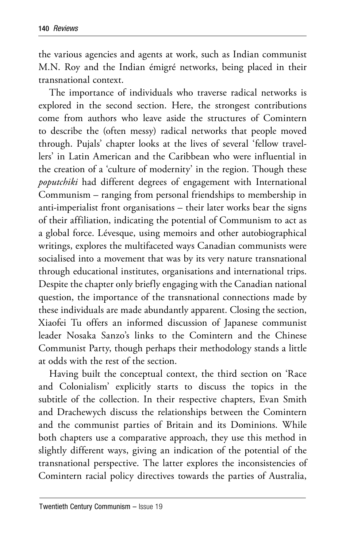the various agencies and agents at work, such as Indian communist M.N. Roy and the Indian émigré networks, being placed in their transnational context.

The importance of individuals who traverse radical networks is explored in the second section. Here, the strongest contributions come from authors who leave aside the structures of Comintern to describe the (often messy) radical networks that people moved through. Pujals' chapter looks at the lives of several 'fellow travellers' in Latin American and the Caribbean who were influential in the creation of a 'culture of modernity' in the region. Though these *poputchiki* had different degrees of engagement with International Communism – ranging from personal friendships to membership in anti-imperialist front organisations – their later works bear the signs of their affiliation, indicating the potential of Communism to act as a global force. Lévesque, using memoirs and other autobiographical writings, explores the multifaceted ways Canadian communists were socialised into a movement that was by its very nature transnational through educational institutes, organisations and international trips. Despite the chapter only briefly engaging with the Canadian national question, the importance of the transnational connections made by these individuals are made abundantly apparent. Closing the section, Xiaofei Tu offers an informed discussion of Japanese communist leader Nosaka Sanzo's links to the Comintern and the Chinese Communist Party, though perhaps their methodology stands a little at odds with the rest of the section.

Having built the conceptual context, the third section on 'Race and Colonialism' explicitly starts to discuss the topics in the subtitle of the collection. In their respective chapters, Evan Smith and Drachewych discuss the relationships between the Comintern and the communist parties of Britain and its Dominions. While both chapters use a comparative approach, they use this method in slightly different ways, giving an indication of the potential of the transnational perspective. The latter explores the inconsistencies of Comintern racial policy directives towards the parties of Australia,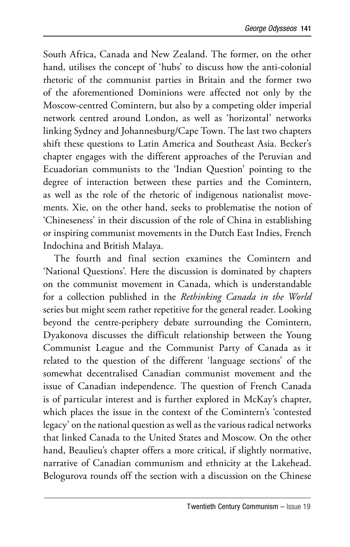South Africa, Canada and New Zealand. The former, on the other hand, utilises the concept of 'hubs' to discuss how the anti-colonial rhetoric of the communist parties in Britain and the former two of the aforementioned Dominions were affected not only by the Moscow-centred Comintern, but also by a competing older imperial network centred around London, as well as 'horizontal' networks linking Sydney and Johannesburg/Cape Town. The last two chapters shift these questions to Latin America and Southeast Asia. Becker's chapter engages with the different approaches of the Peruvian and Ecuadorian communists to the 'Indian Question' pointing to the degree of interaction between these parties and the Comintern, as well as the role of the rhetoric of indigenous nationalist movements. Xie, on the other hand, seeks to problematise the notion of 'Chineseness' in their discussion of the role of China in establishing or inspiring communist movements in the Dutch East Indies, French Indochina and British Malaya.

The fourth and final section examines the Comintern and 'National Questions'. Here the discussion is dominated by chapters on the communist movement in Canada, which is understandable for a collection published in the *Rethinking Canada in the World* series but might seem rather repetitive for the general reader. Looking beyond the centre-periphery debate surrounding the Comintern, Dyakonova discusses the difficult relationship between the Young Communist League and the Communist Party of Canada as it related to the question of the different 'language sections' of the somewhat decentralised Canadian communist movement and the issue of Canadian independence. The question of French Canada is of particular interest and is further explored in McKay's chapter, which places the issue in the context of the Comintern's 'contested legacy' on the national question as well as the various radical networks that linked Canada to the United States and Moscow. On the other hand, Beaulieu's chapter offers a more critical, if slightly normative, narrative of Canadian communism and ethnicity at the Lakehead. Belogurova rounds off the section with a discussion on the Chinese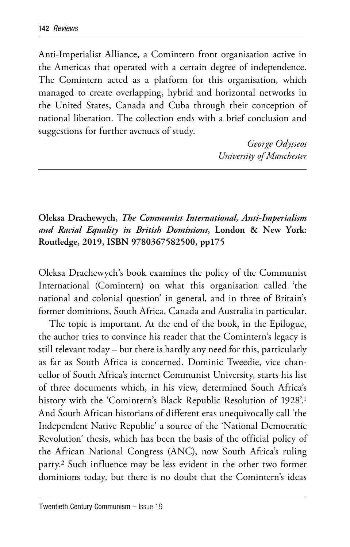Anti-Imperialist Alliance, a Comintern front organisation active in the Americas that operated with a certain degree of independence. The Comintern acted as a platform for this organisation, which managed to create overlapping, hybrid and horizontal networks in the United States, Canada and Cuba through their conception of national liberation. The collection ends with a brief conclusion and suggestions for further avenues of study.

> *George Odysseos University of Manchester*

**Oleksa Drachewych,** *The Communist International, Anti-Imperialism and Racial Equality in British Dominions***, London & New York: Routledge, 2019, ISBN 9780367582500, pp175** 

Oleksa Drachewych's book examines the policy of the Communist International (Comintern) on what this organisation called 'the national and colonial question' in general, and in three of Britain's former dominions, South Africa, Canada and Australia in particular.

The topic is important. At the end of the book, in the Epilogue, the author tries to convince his reader that the Comintern's legacy is still relevant today – but there is hardly any need for this, particularly as far as South Africa is concerned. Dominic Tweedie, vice chancellor of South Africa's internet Communist University, starts his list of three documents which, in his view, determined South Africa's history with the 'Comintern's Black Republic Resolution of 1928'.<sup>1</sup> And South African historians of different eras unequivocally call 'the Independent Native Republic' a source of the 'National Democratic Revolution' thesis, which has been the basis of the official policy of the African National Congress (ANC), now South Africa's ruling party.2 Such influence may be less evident in the other two former dominions today, but there is no doubt that the Comintern's ideas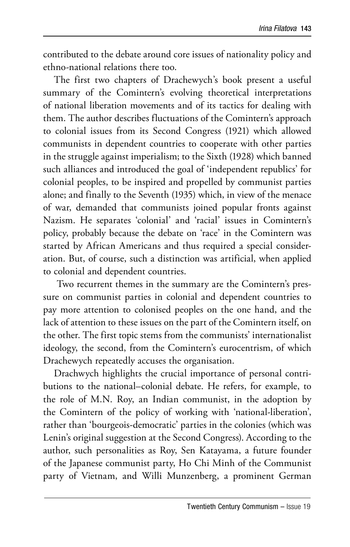contributed to the debate around core issues of nationality policy and ethno-national relations there too.

The first two chapters of Drachewych's book present a useful summary of the Comintern's evolving theoretical interpretations of national liberation movements and of its tactics for dealing with them. The author describes fluctuations of the Comintern's approach to colonial issues from its Second Congress (1921) which allowed communists in dependent countries to cooperate with other parties in the struggle against imperialism; to the Sixth (1928) which banned such alliances and introduced the goal of 'independent republics' for colonial peoples, to be inspired and propelled by communist parties alone; and finally to the Seventh (1935) which, in view of the menace of war, demanded that communists joined popular fronts against Nazism. He separates 'colonial' and 'racial' issues in Comintern's policy, probably because the debate on 'race' in the Comintern was started by African Americans and thus required a special consideration. But, of course, such a distinction was artificial, when applied to colonial and dependent countries.

 Two recurrent themes in the summary are the Comintern's pressure on communist parties in colonial and dependent countries to pay more attention to colonised peoples on the one hand, and the lack of attention to these issues on the part of the Comintern itself, on the other. The first topic stems from the communists' internationalist ideology, the second, from the Comintern's eurocentrism, of which Drachewych repeatedly accuses the organisation.

Drachwych highlights the crucial importance of personal contributions to the national–colonial debate. He refers, for example, to the role of M.N. Roy, an Indian communist, in the adoption by the Comintern of the policy of working with 'national-liberation', rather than 'bourgeois-democratic' parties in the colonies (which was Lenin's original suggestion at the Second Congress). According to the author, such personalities as Roy, Sen Katayama, a future founder of the Japanese communist party, Ho Chi Minh of the Communist party of Vietnam, and Willi Munzenberg, a prominent German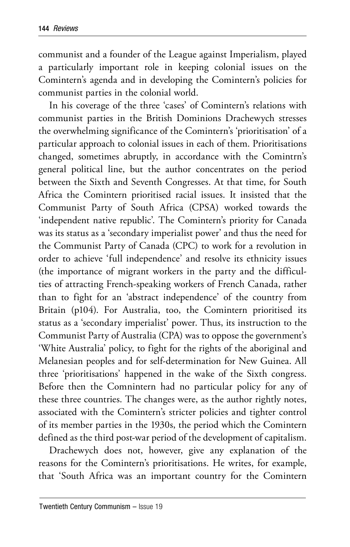communist and a founder of the League against Imperialism, played a particularly important role in keeping colonial issues on the Comintern's agenda and in developing the Comintern's policies for communist parties in the colonial world.

In his coverage of the three 'cases' of Comintern's relations with communist parties in the British Dominions Drachewych stresses the overwhelming significance of the Comintern's 'prioritisation' of a particular approach to colonial issues in each of them. Prioritisations changed, sometimes abruptly, in accordance with the Comintrn's general political line, but the author concentrates on the period between the Sixth and Seventh Congresses. At that time, for South Africa the Comintern prioritised racial issues. It insisted that the Communist Party of South Africa (CPSA) worked towards the 'independent native republic'. The Comintern's priority for Canada was its status as a 'secondary imperialist power' and thus the need for the Communist Party of Canada (CPC) to work for a revolution in order to achieve 'full independence' and resolve its ethnicity issues (the importance of migrant workers in the party and the difficulties of attracting French-speaking workers of French Canada, rather than to fight for an 'abstract independence' of the country from Britain (p104). For Australia, too, the Comintern prioritised its status as a 'secondary imperialist' power. Thus, its instruction to the Communist Party of Australia (CPA) was to oppose the government's 'White Australia' policy, to fight for the rights of the aboriginal and Melanesian peoples and for self-determination for New Guinea. All three 'prioritisations' happened in the wake of the Sixth congress. Before then the Comnintern had no particular policy for any of these three countries. The changes were, as the author rightly notes, associated with the Comintern's stricter policies and tighter control of its member parties in the 1930s, the period which the Comintern defined as the third post-war period of the development of capitalism.

Drachewych does not, however, give any explanation of the reasons for the Comintern's prioritisations. He writes, for example, that 'South Africa was an important country for the Comintern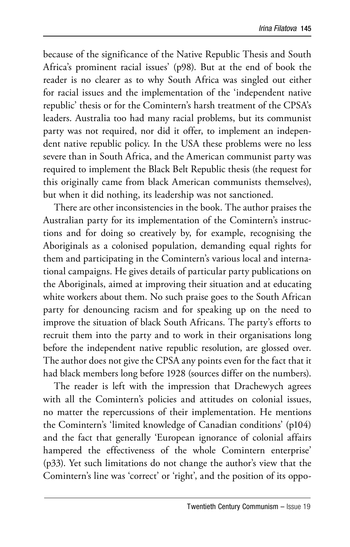because of the significance of the Native Republic Thesis and South Africa's prominent racial issues' (p98). But at the end of book the reader is no clearer as to why South Africa was singled out either for racial issues and the implementation of the 'independent native republic' thesis or for the Comintern's harsh treatment of the CPSA's leaders. Australia too had many racial problems, but its communist party was not required, nor did it offer, to implement an independent native republic policy. In the USA these problems were no less severe than in South Africa, and the American communist party was required to implement the Black Belt Republic thesis (the request for this originally came from black American communists themselves), but when it did nothing, its leadership was not sanctioned.

There are other inconsistencies in the book. The author praises the Australian party for its implementation of the Comintern's instructions and for doing so creatively by, for example, recognising the Aboriginals as a colonised population, demanding equal rights for them and participating in the Comintern's various local and international campaigns. He gives details of particular party publications on the Aboriginals, aimed at improving their situation and at educating white workers about them. No such praise goes to the South African party for denouncing racism and for speaking up on the need to improve the situation of black South Africans. The party's efforts to recruit them into the party and to work in their organisations long before the independent native republic resolution, are glossed over. The author does not give the CPSA any points even for the fact that it had black members long before 1928 (sources differ on the numbers).

The reader is left with the impression that Drachewych agrees with all the Comintern's policies and attitudes on colonial issues, no matter the repercussions of their implementation. He mentions the Comintern's 'limited knowledge of Canadian conditions' (p104) and the fact that generally 'European ignorance of colonial affairs hampered the effectiveness of the whole Comintern enterprise' (p33). Yet such limitations do not change the author's view that the Comintern's line was 'correct' or 'right', and the position of its oppo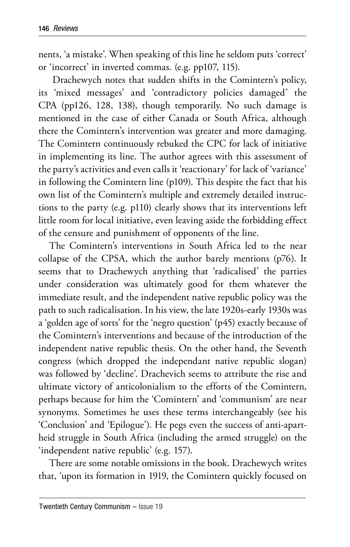nents, 'a mistake'. When speaking of this line he seldom puts 'correct' or 'incorrect' in inverted commas. (e.g. pp107, 115).

 Drachewych notes that sudden shifts in the Comintern's policy, its 'mixed messages' and 'contradictory policies damaged' the CPA (pp126, 128, 138), though temporarily. No such damage is mentioned in the case of either Canada or South Africa, although there the Comintern's intervention was greater and more damaging. The Comintern continuously rebuked the CPC for lack of initiative in implementing its line. The author agrees with this assessment of the party's activities and even calls it 'reactionary' for lack of 'variance' in following the Comintern line (p109). This despite the fact that his own list of the Comintern's multiple and extremely detailed instructions to the party (e.g. p110) clearly shows that its interventions left little room for local initiative, even leaving aside the forbidding effect of the censure and punishment of opponents of the line.

The Comintern's interventions in South Africa led to the near collapse of the CPSA, which the author barely mentions (p76). It seems that to Drachewych anything that 'radicalised' the parties under consideration was ultimately good for them whatever the immediate result, and the independent native republic policy was the path to such radicalisation. In his view, the late 1920s-early 1930s was a 'golden age of sorts' for the 'negro question' (p45) exactly because of the Comintern's interventions and because of the introduction of the independent native republic thesis. On the other hand, the Seventh congress (which dropped the independant native republic slogan) was followed by 'decline'. Drachevich seems to attribute the rise and ultimate victory of anticolonialism to the efforts of the Comintern, perhaps because for him the 'Comintern' and 'communism' are near synonyms. Sometimes he uses these terms interchangeably (see his 'Conclusion' and 'Epilogue'). He pegs even the success of anti-apartheid struggle in South Africa (including the armed struggle) on the 'independent native republic' (e.g. 157).

There are some notable omissions in the book. Drachewych writes that, 'upon its formation in 1919, the Comintern quickly focused on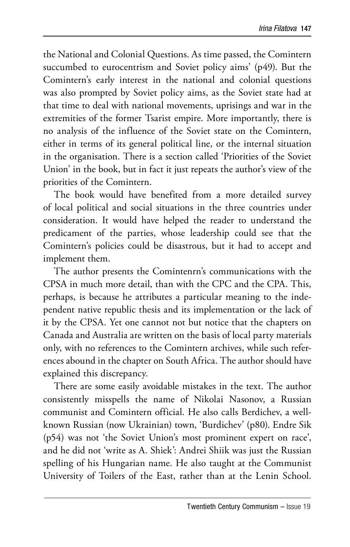the National and Colonial Questions. As time passed, the Comintern succumbed to eurocentrism and Soviet policy aims' (p49). But the Comintern's early interest in the national and colonial questions was also prompted by Soviet policy aims, as the Soviet state had at that time to deal with national movements, uprisings and war in the extremities of the former Tsarist empire. More importantly, there is no analysis of the influence of the Soviet state on the Comintern, either in terms of its general political line, or the internal situation in the organisation. There is a section called 'Priorities of the Soviet Union' in the book, but in fact it just repeats the author's view of the priorities of the Comintern.

The book would have benefited from a more detailed survey of local political and social situations in the three countries under consideration. It would have helped the reader to understand the predicament of the parties, whose leadership could see that the Comintern's policies could be disastrous, but it had to accept and implement them.

The author presents the Comintenrn's communications with the CPSA in much more detail, than with the CPC and the CPA. This, perhaps, is because he attributes a particular meaning to the independent native republic thesis and its implementation or the lack of it by the CPSA. Yet one cannot not but notice that the chapters on Canada and Australia are written on the basis of local party materials only, with no references to the Comintern archives, while such references abound in the chapter on South Africa. The author should have explained this discrepancy.

There are some easily avoidable mistakes in the text. The author consistently misspells the name of Nikolai Nasonov, a Russian communist and Comintern official. He also calls Berdichev, a wellknown Russian (now Ukrainian) town, 'Burdichev' (p80). Endre Sik (p54) was not 'the Soviet Union's most prominent expert on race', and he did not 'write as A. Shiek': Andrei Shiik was just the Russian spelling of his Hungarian name. He also taught at the Communist University of Toilers of the East, rather than at the Lenin School.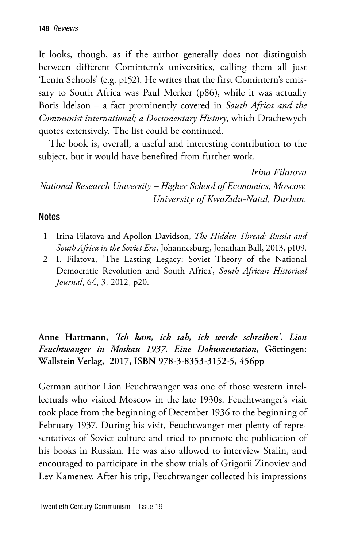It looks, though, as if the author generally does not distinguish between different Comintern's universities, calling them all just 'Lenin Schools' (e.g. p152). He writes that the first Comintern's emissary to South Africa was Paul Merker (p86), while it was actually Boris Idelson – a fact prominently covered in *South Africa and the Communist international; a Documentary History*, which Drachewych quotes extensively. The list could be continued.

The book is, overall, a useful and interesting contribution to the subject, but it would have benefited from further work.

*Irina Filatova National Research University – Higher School of Economics, Moscow. University of KwaZulu-Natal, Durban.* 

## **Notes**

- 1 Irina Filatova and Apollon Davidson, *The Hidden Thread: Russia and South Africa in the Soviet Era*, Johannesburg, Jonathan Ball, 2013, p109.
- 2 I. Filatova, 'The Lasting Legacy: Soviet Theory of the National Democratic Revolution and South Africa', *South African Historical Journal*, 64, 3, 2012, p20.

**Anne Hartmann,** *'Ich kam, ich sah, ich werde schreiben'. Lion Feuchtwanger in Moskau 1937. Eine Dokumentation***, Göttingen: Wallstein Verlag, 2017, ISBN 978-3-8353-3152-5, 456pp** 

German author Lion Feuchtwanger was one of those western intellectuals who visited Moscow in the late 1930s. Feuchtwanger's visit took place from the beginning of December 1936 to the beginning of February 1937. During his visit, Feuchtwanger met plenty of representatives of Soviet culture and tried to promote the publication of his books in Russian. He was also allowed to interview Stalin, and encouraged to participate in the show trials of Grigorii Zinoviev and Lev Kamenev. After his trip, Feuchtwanger collected his impressions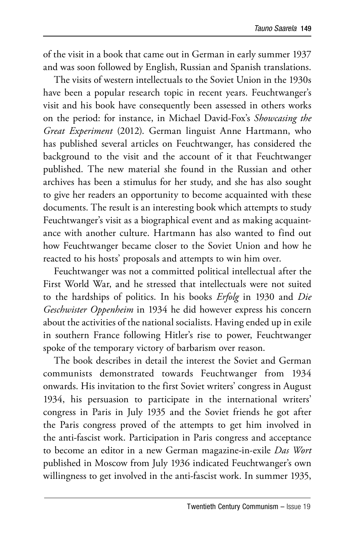of the visit in a book that came out in German in early summer 1937 and was soon followed by English, Russian and Spanish translations.

The visits of western intellectuals to the Soviet Union in the 1930s have been a popular research topic in recent years. Feuchtwanger's visit and his book have consequently been assessed in others works on the period: for instance, in Michael David-Fox's *Showcasing the Great Experiment* (2012). German linguist Anne Hartmann, who has published several articles on Feuchtwanger, has considered the background to the visit and the account of it that Feuchtwanger published. The new material she found in the Russian and other archives has been a stimulus for her study, and she has also sought to give her readers an opportunity to become acquainted with these documents. The result is an interesting book which attempts to study Feuchtwanger's visit as a biographical event and as making acquaintance with another culture. Hartmann has also wanted to find out how Feuchtwanger became closer to the Soviet Union and how he reacted to his hosts' proposals and attempts to win him over.

Feuchtwanger was not a committed political intellectual after the First World War, and he stressed that intellectuals were not suited to the hardships of politics. In his books *Erfolg* in 1930 and *Die Geschwister Oppenheim* in 1934 he did however express his concern about the activities of the national socialists. Having ended up in exile in southern France following Hitler's rise to power, Feuchtwanger spoke of the temporary victory of barbarism over reason.

The book describes in detail the interest the Soviet and German communists demonstrated towards Feuchtwanger from 1934 onwards. His invitation to the first Soviet writers' congress in August 1934, his persuasion to participate in the international writers' congress in Paris in July 1935 and the Soviet friends he got after the Paris congress proved of the attempts to get him involved in the anti-fascist work. Participation in Paris congress and acceptance to become an editor in a new German magazine-in-exile *Das Wort* published in Moscow from July 1936 indicated Feuchtwanger's own willingness to get involved in the anti-fascist work. In summer 1935,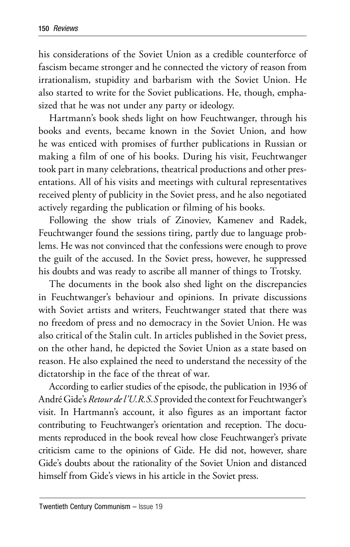his considerations of the Soviet Union as a credible counterforce of fascism became stronger and he connected the victory of reason from irrationalism, stupidity and barbarism with the Soviet Union. He also started to write for the Soviet publications. He, though, emphasized that he was not under any party or ideology.

Hartmann's book sheds light on how Feuchtwanger, through his books and events, became known in the Soviet Union, and how he was enticed with promises of further publications in Russian or making a film of one of his books. During his visit, Feuchtwanger took part in many celebrations, theatrical productions and other presentations. All of his visits and meetings with cultural representatives received plenty of publicity in the Soviet press, and he also negotiated actively regarding the publication or filming of his books.

Following the show trials of Zinoviev, Kamenev and Radek, Feuchtwanger found the sessions tiring, partly due to language problems. He was not convinced that the confessions were enough to prove the guilt of the accused. In the Soviet press, however, he suppressed his doubts and was ready to ascribe all manner of things to Trotsky.

The documents in the book also shed light on the discrepancies in Feuchtwanger's behaviour and opinions. In private discussions with Soviet artists and writers, Feuchtwanger stated that there was no freedom of press and no democracy in the Soviet Union. He was also critical of the Stalin cult. In articles published in the Soviet press, on the other hand, he depicted the Soviet Union as a state based on reason. He also explained the need to understand the necessity of the dictatorship in the face of the threat of war.

According to earlier studies of the episode, the publication in 1936 of André Gide's *Retour de l'U.R.S.S* provided the context for Feuchtwanger's visit. In Hartmann's account, it also figures as an important factor contributing to Feuchtwanger's orientation and reception. The documents reproduced in the book reveal how close Feuchtwanger's private criticism came to the opinions of Gide. He did not, however, share Gide's doubts about the rationality of the Soviet Union and distanced himself from Gide's views in his article in the Soviet press.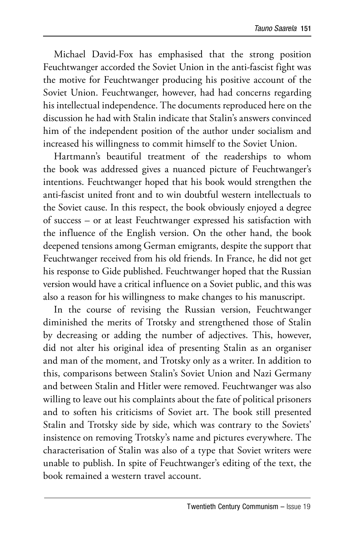Michael David-Fox has emphasised that the strong position Feuchtwanger accorded the Soviet Union in the anti-fascist fight was the motive for Feuchtwanger producing his positive account of the Soviet Union. Feuchtwanger, however, had had concerns regarding his intellectual independence. The documents reproduced here on the discussion he had with Stalin indicate that Stalin's answers convinced him of the independent position of the author under socialism and increased his willingness to commit himself to the Soviet Union.

Hartmann's beautiful treatment of the readerships to whom the book was addressed gives a nuanced picture of Feuchtwanger's intentions. Feuchtwanger hoped that his book would strengthen the anti-fascist united front and to win doubtful western intellectuals to the Soviet cause. In this respect, the book obviously enjoyed a degree of success – or at least Feuchtwanger expressed his satisfaction with the influence of the English version. On the other hand, the book deepened tensions among German emigrants, despite the support that Feuchtwanger received from his old friends. In France, he did not get his response to Gide published. Feuchtwanger hoped that the Russian version would have a critical influence on a Soviet public, and this was also a reason for his willingness to make changes to his manuscript.

In the course of revising the Russian version, Feuchtwanger diminished the merits of Trotsky and strengthened those of Stalin by decreasing or adding the number of adjectives. This, however, did not alter his original idea of presenting Stalin as an organiser and man of the moment, and Trotsky only as a writer. In addition to this, comparisons between Stalin's Soviet Union and Nazi Germany and between Stalin and Hitler were removed. Feuchtwanger was also willing to leave out his complaints about the fate of political prisoners and to soften his criticisms of Soviet art. The book still presented Stalin and Trotsky side by side, which was contrary to the Soviets' insistence on removing Trotsky's name and pictures everywhere. The characterisation of Stalin was also of a type that Soviet writers were unable to publish. In spite of Feuchtwanger's editing of the text, the book remained a western travel account.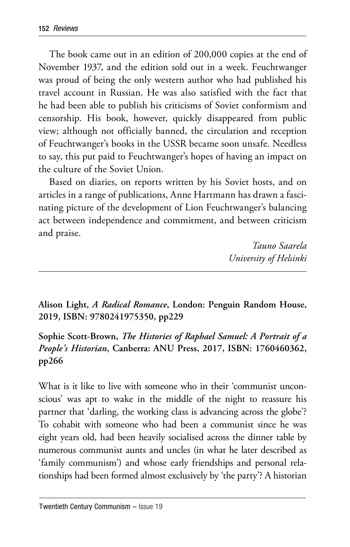The book came out in an edition of 200,000 copies at the end of November 1937, and the edition sold out in a week. Feuchtwanger was proud of being the only western author who had published his travel account in Russian. He was also satisfied with the fact that he had been able to publish his criticisms of Soviet conformism and censorship. His book, however, quickly disappeared from public view; although not officially banned, the circulation and reception of Feuchtwanger's books in the USSR became soon unsafe. Needless to say, this put paid to Feuchtwanger's hopes of having an impact on the culture of the Soviet Union.

Based on diaries, on reports written by his Soviet hosts, and on articles in a range of publications, Anne Hartmann has drawn a fascinating picture of the development of Lion Feuchtwanger's balancing act between independence and commitment, and between criticism and praise.

> *Tauno Saarela University of Helsinki*

**Alison Light,** *A Radical Romance***, London: Penguin Random House, 2019, ISBN: 9780241975350, pp229** 

**Sophie Scott-Brown,** *The Histories of Raphael Samuel: A Portrait of a People's Historian***, Canberra: ANU Press, 2017, ISBN: 1760460362, pp266**

What is it like to live with someone who in their 'communist unconscious' was apt to wake in the middle of the night to reassure his partner that 'darling, the working class is advancing across the globe'? To cohabit with someone who had been a communist since he was eight years old, had been heavily socialised across the dinner table by numerous communist aunts and uncles (in what he later described as 'family communism') and whose early friendships and personal relationships had been formed almost exclusively by 'the party'? A historian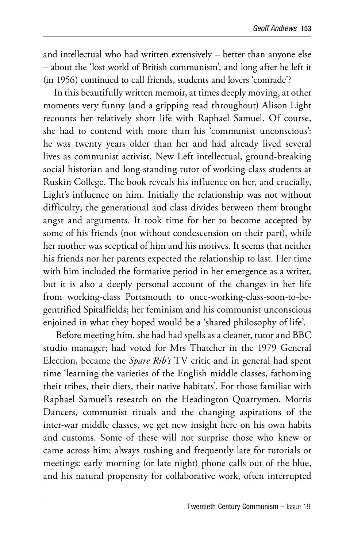and intellectual who had written extensively – better than anyone else – about the 'lost world of British communism', and long after he left it (in 1956) continued to call friends, students and lovers 'comrade'?

In this beautifully written memoir, at times deeply moving, at other moments very funny (and a gripping read throughout) Alison Light recounts her relatively short life with Raphael Samuel. Of course, she had to contend with more than his 'communist unconscious': he was twenty years older than her and had already lived several lives as communist activist, New Left intellectual, ground-breaking social historian and long-standing tutor of working-class students at Ruskin College. The book reveals his influence on her, and crucially, Light's influence on him. Initially the relationship was not without difficulty; the generational and class divides between them brought angst and arguments. It took time for her to become accepted by some of his friends (not without condescension on their part), while her mother was sceptical of him and his motives. It seems that neither his friends nor her parents expected the relationship to last. Her time with him included the formative period in her emergence as a writer, but it is also a deeply personal account of the changes in her life from working-class Portsmouth to once-working-class-soon-to-begentrified Spitalfields; her feminism and his communist unconscious enjoined in what they hoped would be a 'shared philosophy of life'.

 Before meeting him, she had had spells as a cleaner, tutor and BBC studio manager; had voted for Mrs Thatcher in the 1979 General Election, became the *Spare Rib's* TV critic and in general had spent time 'learning the varieties of the English middle classes, fathoming their tribes, their diets, their native habitats'. For those familiar with Raphael Samuel's research on the Headington Quarrymen, Morris Dancers, communist rituals and the changing aspirations of the inter-war middle classes, we get new insight here on his own habits and customs. Some of these will not surprise those who knew or came across him; always rushing and frequently late for tutorials or meetings: early morning (or late night) phone calls out of the blue, and his natural propensity for collaborative work, often interrupted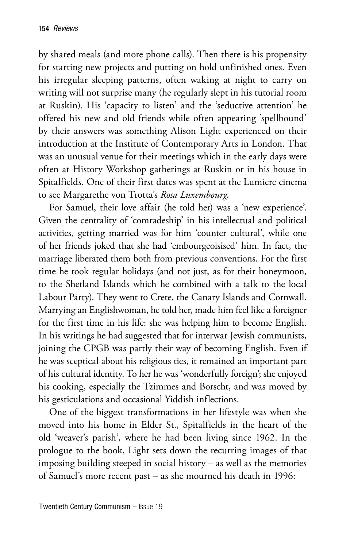by shared meals (and more phone calls). Then there is his propensity for starting new projects and putting on hold unfinished ones. Even his irregular sleeping patterns, often waking at night to carry on writing will not surprise many (he regularly slept in his tutorial room at Ruskin). His 'capacity to listen' and the 'seductive attention' he offered his new and old friends while often appearing 'spellbound' by their answers was something Alison Light experienced on their introduction at the Institute of Contemporary Arts in London. That was an unusual venue for their meetings which in the early days were often at History Workshop gatherings at Ruskin or in his house in Spitalfields. One of their first dates was spent at the Lumiere cinema to see Margarethe von Trotta's *Rosa Luxembourg*.

For Samuel, their love affair (he told her) was a 'new experience'. Given the centrality of 'comradeship' in his intellectual and political activities, getting married was for him 'counter cultural', while one of her friends joked that she had 'embourgeoisised' him. In fact, the marriage liberated them both from previous conventions. For the first time he took regular holidays (and not just, as for their honeymoon, to the Shetland Islands which he combined with a talk to the local Labour Party). They went to Crete, the Canary Islands and Cornwall. Marrying an Englishwoman, he told her, made him feel like a foreigner for the first time in his life: she was helping him to become English. In his writings he had suggested that for interwar Jewish communists, joining the CPGB was partly their way of becoming English. Even if he was sceptical about his religious ties, it remained an important part of his cultural identity. To her he was 'wonderfully foreign'; she enjoyed his cooking, especially the Tzimmes and Borscht, and was moved by his gesticulations and occasional Yiddish inflections.

One of the biggest transformations in her lifestyle was when she moved into his home in Elder St., Spitalfields in the heart of the old 'weaver's parish', where he had been living since 1962. In the prologue to the book, Light sets down the recurring images of that imposing building steeped in social history – as well as the memories of Samuel's more recent past – as she mourned his death in 1996: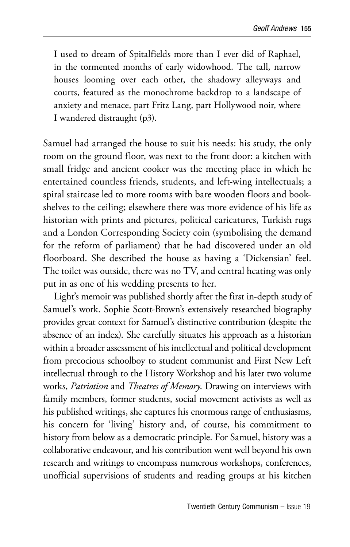I used to dream of Spitalfields more than I ever did of Raphael, in the tormented months of early widowhood. The tall, narrow houses looming over each other, the shadowy alleyways and courts, featured as the monochrome backdrop to a landscape of anxiety and menace, part Fritz Lang, part Hollywood noir, where I wandered distraught (p3).

Samuel had arranged the house to suit his needs: his study, the only room on the ground floor, was next to the front door: a kitchen with small fridge and ancient cooker was the meeting place in which he entertained countless friends, students, and left-wing intellectuals; a spiral staircase led to more rooms with bare wooden floors and bookshelves to the ceiling; elsewhere there was more evidence of his life as historian with prints and pictures, political caricatures, Turkish rugs and a London Corresponding Society coin (symbolising the demand for the reform of parliament) that he had discovered under an old floorboard. She described the house as having a 'Dickensian' feel. The toilet was outside, there was no TV, and central heating was only put in as one of his wedding presents to her.

Light's memoir was published shortly after the first in-depth study of Samuel's work. Sophie Scott-Brown's extensively researched biography provides great context for Samuel's distinctive contribution (despite the absence of an index). She carefully situates his approach as a historian within a broader assessment of his intellectual and political development from precocious schoolboy to student communist and First New Left intellectual through to the History Workshop and his later two volume works, *Patriotism* and *Theatres of Memory*. Drawing on interviews with family members, former students, social movement activists as well as his published writings, she captures his enormous range of enthusiasms, his concern for 'living' history and, of course, his commitment to history from below as a democratic principle. For Samuel, history was a collaborative endeavour, and his contribution went well beyond his own research and writings to encompass numerous workshops, conferences, unofficial supervisions of students and reading groups at his kitchen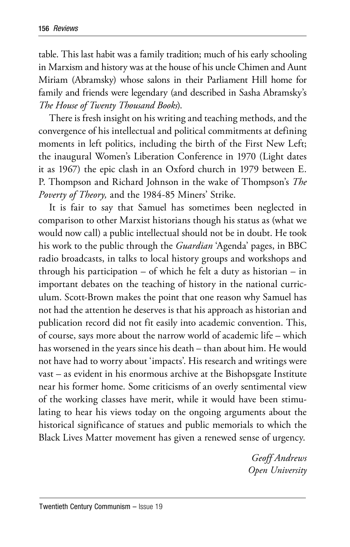table. This last habit was a family tradition; much of his early schooling in Marxism and history was at the house of his uncle Chimen and Aunt Miriam (Abramsky) whose salons in their Parliament Hill home for family and friends were legendary (and described in Sasha Abramsky's *The House of Twenty Thousand Books*).

There is fresh insight on his writing and teaching methods, and the convergence of his intellectual and political commitments at defining moments in left politics, including the birth of the First New Left; the inaugural Women's Liberation Conference in 1970 (Light dates it as 1967) the epic clash in an Oxford church in 1979 between E. P. Thompson and Richard Johnson in the wake of Thompson's *The Poverty of Theory,* and the 1984-85 Miners' Strike.

It is fair to say that Samuel has sometimes been neglected in comparison to other Marxist historians though his status as (what we would now call) a public intellectual should not be in doubt. He took his work to the public through the *Guardian* 'Agenda' pages, in BBC radio broadcasts, in talks to local history groups and workshops and through his participation – of which he felt a duty as historian – in important debates on the teaching of history in the national curriculum. Scott-Brown makes the point that one reason why Samuel has not had the attention he deserves is that his approach as historian and publication record did not fit easily into academic convention. This, of course, says more about the narrow world of academic life – which has worsened in the years since his death – than about him. He would not have had to worry about 'impacts'. His research and writings were vast – as evident in his enormous archive at the Bishopsgate Institute near his former home. Some criticisms of an overly sentimental view of the working classes have merit, while it would have been stimulating to hear his views today on the ongoing arguments about the historical significance of statues and public memorials to which the Black Lives Matter movement has given a renewed sense of urgency.

> *Geoff Andrews Open University*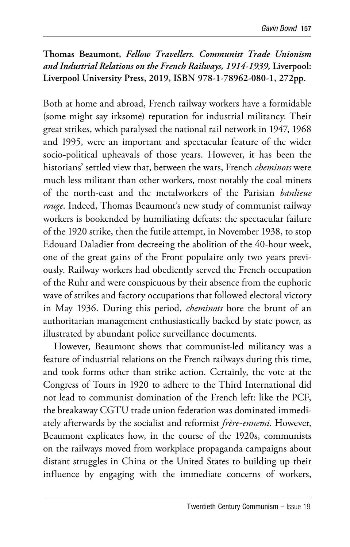**Thomas Beaumont,** *Fellow Travellers. Communist Trade Unionism and Industrial Relations on the French Railways, 1914-1939,* **Liverpool: Liverpool University Press, 2019, ISBN 978-1-78962-080-1, 272pp.**

Both at home and abroad, French railway workers have a formidable (some might say irksome) reputation for industrial militancy. Their great strikes, which paralysed the national rail network in 1947, 1968 and 1995, were an important and spectacular feature of the wider socio-political upheavals of those years. However, it has been the historians' settled view that, between the wars, French *cheminots* were much less militant than other workers, most notably the coal miners of the north-east and the metalworkers of the Parisian *banlieue rouge*. Indeed, Thomas Beaumont's new study of communist railway workers is bookended by humiliating defeats: the spectacular failure of the 1920 strike, then the futile attempt, in November 1938, to stop Edouard Daladier from decreeing the abolition of the 40-hour week, one of the great gains of the Front populaire only two years previously. Railway workers had obediently served the French occupation of the Ruhr and were conspicuous by their absence from the euphoric wave of strikes and factory occupations that followed electoral victory in May 1936. During this period, *cheminots* bore the brunt of an authoritarian management enthusiastically backed by state power, as illustrated by abundant police surveillance documents.

However, Beaumont shows that communist-led militancy was a feature of industrial relations on the French railways during this time, and took forms other than strike action. Certainly, the vote at the Congress of Tours in 1920 to adhere to the Third International did not lead to communist domination of the French left: like the PCF, the breakaway CGTU trade union federation was dominated immediately afterwards by the socialist and reformist *frère-ennemi*. However, Beaumont explicates how, in the course of the 1920s, communists on the railways moved from workplace propaganda campaigns about distant struggles in China or the United States to building up their influence by engaging with the immediate concerns of workers,